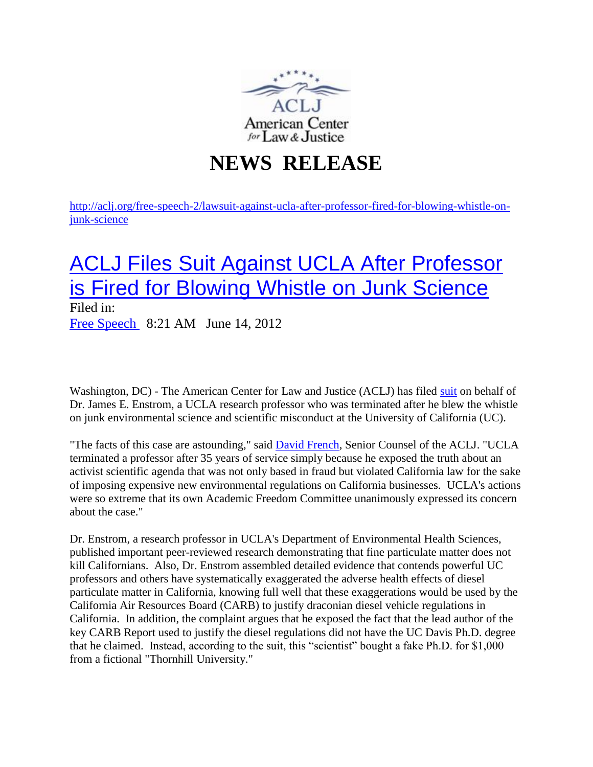

## **NEWS RELEASE**

[http://aclj.org/free-speech-2/lawsuit-against-ucla-after-professor-fired-for-blowing-whistle-on](http://aclj.org/free-speech-2/lawsuit-against-ucla-after-professor-fired-for-blowing-whistle-on-junk-science)[junk-science](http://aclj.org/free-speech-2/lawsuit-against-ucla-after-professor-fired-for-blowing-whistle-on-junk-science)

## [ACLJ Files Suit Against UCLA After Professor](http://aclj.org/free-speech-2/lawsuit-against-ucla-after-professor-fired-for-blowing-whistle-on-junk-science)  [is Fired for Blowing Whistle on Junk Science](http://aclj.org/free-speech-2/lawsuit-against-ucla-after-professor-fired-for-blowing-whistle-on-junk-science)

Filed in: [Free Speech](http://aclj.org/free-speech-2) 8:21 AM June 14, 2012

Washington, DC) - The American Center for Law and Justice (ACLJ) has filed [suit](http://c0391070.cdn2.cloudfiles.rackspacecloud.com/pdf/James-e-Enstrom-vs-the-regents-of-the-University-of%20California.pdf) on behalf of Dr. James E. Enstrom, a UCLA research professor who was terminated after he blew the whistle on junk environmental science and scientific misconduct at the University of California (UC).

"The facts of this case are astounding," said **David French**, Senior Counsel of the ACLJ. "UCLA terminated a professor after 35 years of service simply because he exposed the truth about an activist scientific agenda that was not only based in fraud but violated California law for the sake of imposing expensive new environmental regulations on California businesses. UCLA's actions were so extreme that its own Academic Freedom Committee unanimously expressed its concern about the case."

Dr. Enstrom, a research professor in UCLA's Department of Environmental Health Sciences, published important peer-reviewed research demonstrating that fine particulate matter does not kill Californians. Also, Dr. Enstrom assembled detailed evidence that contends powerful UC professors and others have systematically exaggerated the adverse health effects of diesel particulate matter in California, knowing full well that these exaggerations would be used by the California Air Resources Board (CARB) to justify draconian diesel vehicle regulations in California. In addition, the complaint argues that he exposed the fact that the lead author of the key CARB Report used to justify the diesel regulations did not have the UC Davis Ph.D. degree that he claimed. Instead, according to the suit, this "scientist" bought a fake Ph.D. for \$1,000 from a fictional "Thornhill University."